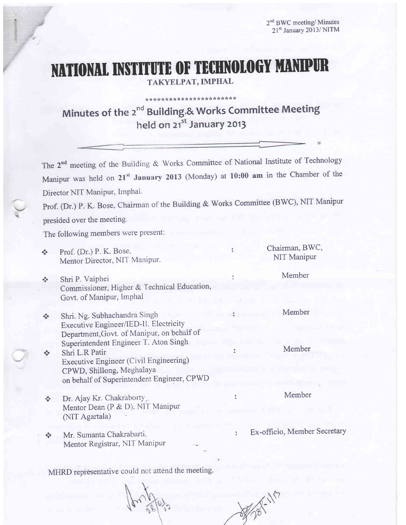# NATIONAL INSTITUTE OF TECHNOLOGY MANIPUR

TAKYELPAT, IMPHAL

# \* ?k \* Js:!\* \*\*\*\*:k\*t<\*\*\*\* ?t \* tr\*\* \* Minutes of the  $2^{nd}$  Building<sub>2</sub>& Works Committee Meeting<br>held on  $21^{st}$  January 2013

The 2<sup>nd</sup> meeting of the Building & Works Committee of National Institute of Technology Manipur was held on 21<sup>st</sup> January 2013 (Monday) at 10:00 am in the Chamber of the Director NIT Manipur, Imphal.

Prof. (Dr.) P. K. Bose, Chairman of the Building & Works Committee (BWC), NIT Manipur

presided over the meeting.

a--

a

The following members were present:

| $\sigma_{\rm eff}^{\rm R}$  | Prof. (Dr.) P. K. Bose,<br>Mentor Director, NIT Manipur.                                                                                                                     |   | Chairman, BWC,<br>NIT Manipur |
|-----------------------------|------------------------------------------------------------------------------------------------------------------------------------------------------------------------------|---|-------------------------------|
| $\sigma_{\rm eff}^{\rm R}$  | Shri P. Vaiphei<br>Commissioner, Higher & Technical Education,<br>Govt. of Manipur, Imphal                                                                                   |   | Member                        |
| $\mathcal{L}_{\mathcal{A}}$ | Shri. Ng. Subhachandra Singh<br>Executive Engineer/IED-II. Electricity<br>Department, Govt. of Manipur, on behalf of                                                         |   | Member                        |
| $\frac{1}{2}$               | Superintendent Engineer T. Aton Singh<br>Shri L.R Patir<br>Executive Engineer (Civil Engineering)<br>CPWD, Shillong, Meghalaya<br>on behalf of Superintendent Engineer, CPWD |   | Member                        |
|                             | Dr. Ajay Kr. Chakraborty<br>Mentor Dean (P & D), NIT Manipur<br>(NIT Agartala)                                                                                               |   | Member                        |
| $\frac{1}{2}$               | Mr. Sumanta Chakrabarti,<br>Mentor Registrar, NIT Manipur                                                                                                                    | ÷ | Ex-officio, Member Secr       |

MHRD representative could not attend the meeting.

etary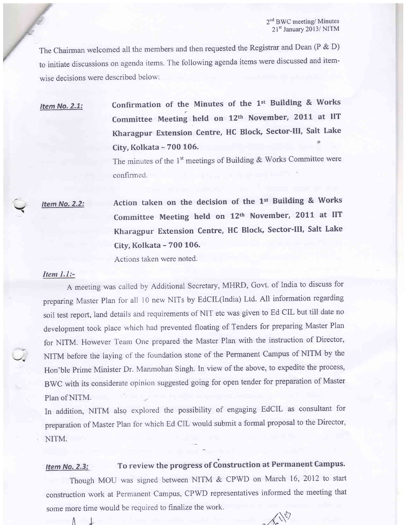The Chairman welcomed all the members and then requested the Registrar and Dean (P & D) to initiate discussions on agenda items. The following agenda items were discussed and itemwise decisions were described below:

Item No. 2.1: Confirmation of the Minutes of the  $1^{st}$  Building & Works Committee Meeting held on 12th November, 2011 at IIT Kharagpur Extension centre, HC Block, sector-Ill, Salt Lake City, Kolkata - 700 105. {r

> The minutes of the 1<sup>st</sup> meetings of Building & Works Committee were confirmed.

Item No. 2.2: Action taken on the decision of the 1st Building & Works Committee Meeting held on 12<sup>th</sup> November, 2011 at IIT Kharagpur Extension centre, HC Block, sector-Ill, Salt Lake City, Kolkata - 700 106.

Actions taken were noted.

### Item 1.1:-

 $\blacktriangle$ 

A meeting was callecl by Additional Secretary, MHRD, Govt. of Indiato discuss for preparing Master plan for all l0 new NITs by EdCIL(India) Ltd. All information regarding soil test report, land details and requirements of NIT etc was given to Ed CIL but till date no development took place which had prevented floating of Tenders for preparing Master Plan for NITM. However Team One prepared the Master Plan with the instruction of Director, NITM before the laying of the foundation stone of the Permanent Campus of NITM by the Hon'ble prime Minister Dr. Manmohan Singh. In view of the above, to expedite the process, BWC with its considerate opinion suggested going for open tender for preparation of Master Plan of NITM.

In addition, NITM also explored the possibility of engaging EdCIL as consultant for preparation of Master Plan for which Ed CIL would submit a formal proposal to the Director, NITM.

#### Item No. 2.3: To review the progress of Construction at Permanent Campus.

Though MOU was signed between NITM & CPWD on March 16, 2012 to start construction work at Permanent Campus, CPWD representatives informed the meeting that some more time would be required to finalize the work.

 $\Lambda$  +  $\Lambda$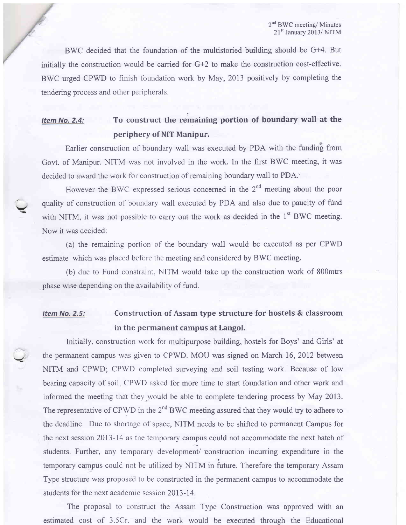BWC decided that the foundation of the multistoried building should be G+4. But initially the construction would be carried for G+2 to make the construction cost-effective. BWC urged CPWD to finish foundation work by May,2013 positively by completing the tendering process and other peripherals.

## Item No. 2.4: To construct the remaining portion of boundary wall at the periphery of NIT Manipur.

Earlier construction of boundary wall was executed by PDA with the funding from Govt. of Manipur. NITM was not involved in the work. In the first BWC meeting, it was decided to award the work for construction of remaining boundary wall to PDA.'

However the BWC expressed serious concerned in the 2<sup>nd</sup> meeting about the poor quality of construction of boundary wall executed by PDA and also due to paucity of fund with NITM, it was not possible to carry out the work as decided in the 1<sup>st</sup> BWC meeting. Now it was decided:

v

(a) the remaining portion of the boundary wall would be executed as per CPWD estimate which was placed before the meeting and considered by BWC meeting.

(b) due to Fund constraint, NITM would take up the construction work of 800mtrs phase wise depending on the availability of fund.

## Item No.2.5: Construction of Assam type structure for hostels & classroom in the permanent campus at Langol.

Initially, construction work for multipurpose building, hostels for Boys' and Girls' at the permanent campus was given to CPWD. MOU was signed on March 16,2012 between NITM and CPWD; CPWD completed surveying and soil testing work. Because of low bearing capacity of soil. CPWD asked for more time to start foundation and other work and informed the meeting that they would be able to complete tendering process by May 2013. The representative of CPWD in the  $2<sup>nd</sup> BWC$  meeting assured that they would try to adhere to the deadline. Due to shortage of space, NITM needs to be shifted to permanent Campus for the next session 2013-14 as the ternporary campus could not accommodate the next batch of students. Further, any temporary development/ construction incurring expenditure in the temporary campus could not be utilized by NITM in future. Therefore the temporary Assam Type structure was proposed to be constructed in the permanent campus to accommodate the students for the next academic session 2013-14.

The proposal to construct the Assam Type Construction was approved with an estimated cost of 3.5Cr. and the work would be executed throueh the Educational